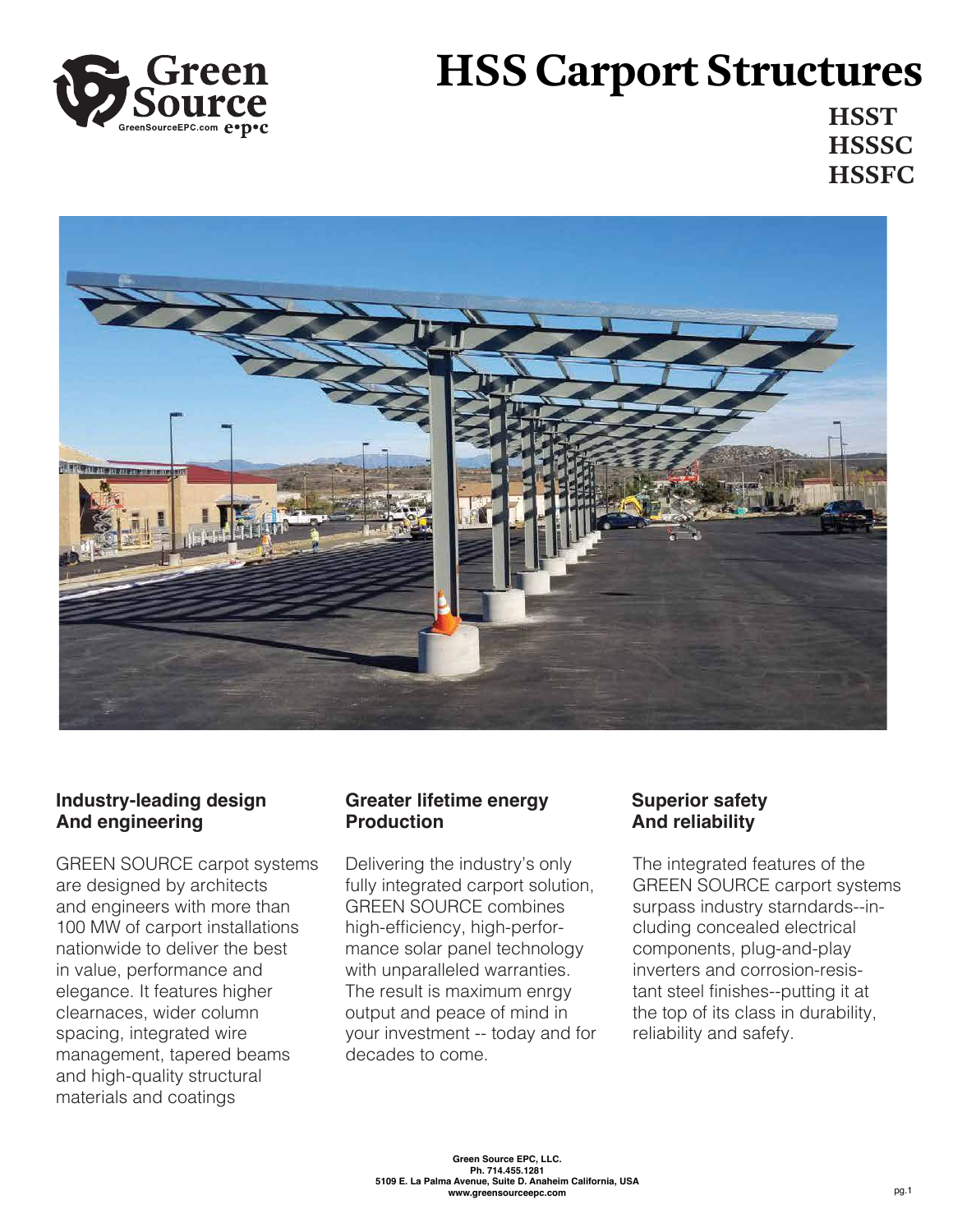

# **HSS Carport Structures**

**HSST HSSSC HSSFC**



## **Industry-leading design And engineering**

GREEN SOURCE carpot systems are designed by architects and engineers with more than 100 MW of carport installations nationwide to deliver the best in value, performance and elegance. It features higher clearnaces, wider column spacing, integrated wire management, tapered beams and high-quality structural materials and coatings

### **Greater lifetime energy Production**

Delivering the industry's only fully integrated carport solution, GREEN SOURCE combines high-efficiency, high-performance solar panel technology with unparalleled warranties. The result is maximum enrgy output and peace of mind in your investment -- today and for decades to come.

## **Superior safety And reliability**

The integrated features of the GREEN SOURCE carport systems surpass industry starndards--including concealed electrical components, plug-and-play inverters and corrosion-resistant steel finishes--putting it at the top of its class in durability, reliability and safefy.